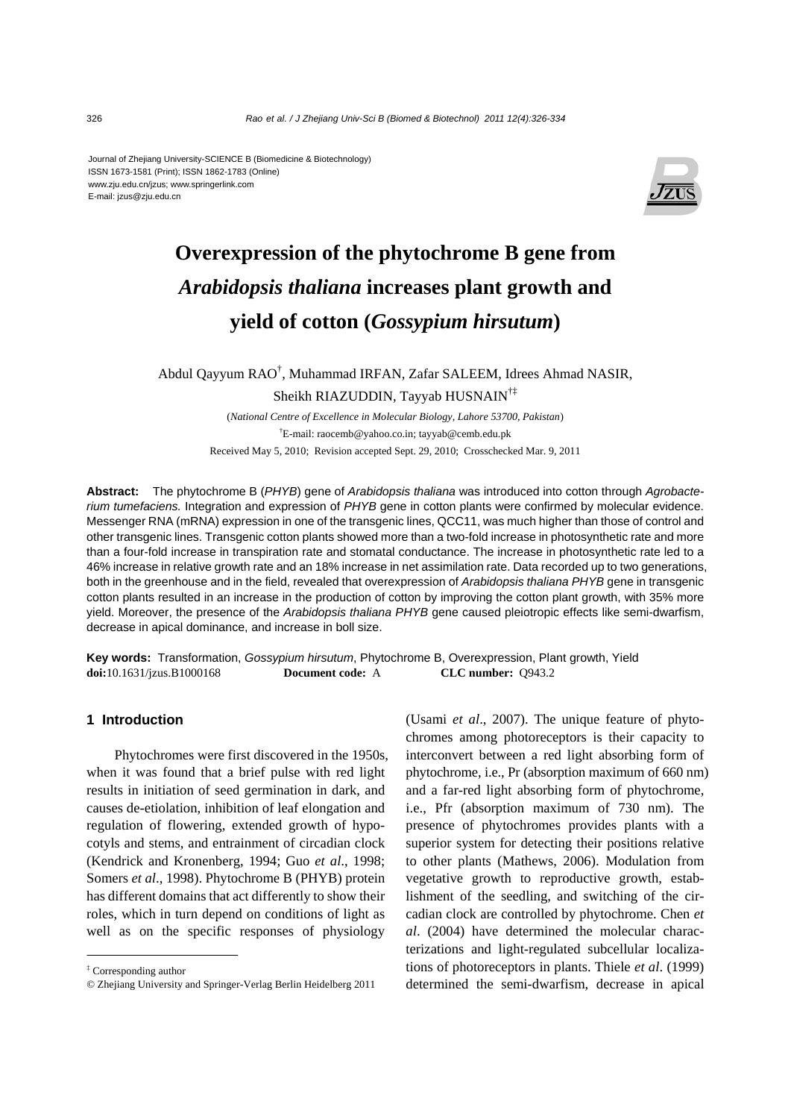Journal of Zhejiang University-SCIENCE B (Biomedicine & Biotechnology) ISSN 1673-1581 (Print); ISSN 1862-1783 (Online) www.zju.edu.cn/jzus; www.springerlink.com E-mail: jzus@zju.edu.cn



# **Overexpression of the phytochrome B gene from**  *Arabidopsis thaliana* **increases plant growth and yield of cotton (***Gossypium hirsutum***)**

Abdul Qayyum RAO<sup>†</sup>, Muhammad IRFAN, Zafar SALEEM, Idrees Ahmad NASIR, Sheikh RIAZUDDIN, Tayyab HUSNAIN†‡

> (*National Centre of Excellence in Molecular Biology, Lahore 53700, Pakistan*) † E-mail: raocemb@yahoo.co.in; tayyab@cemb.edu.pk Received May 5, 2010; Revision accepted Sept. 29, 2010; Crosschecked Mar. 9, 2011

**Abstract:** The phytochrome B (*PHYB*) gene of *Arabidopsis thaliana* was introduced into cotton through *Agrobacterium tumefaciens.* Integration and expression of *PHYB* gene in cotton plants were confirmed by molecular evidence. Messenger RNA (mRNA) expression in one of the transgenic lines, QCC11, was much higher than those of control and other transgenic lines. Transgenic cotton plants showed more than a two-fold increase in photosynthetic rate and more than a four-fold increase in transpiration rate and stomatal conductance. The increase in photosynthetic rate led to a 46% increase in relative growth rate and an 18% increase in net assimilation rate. Data recorded up to two generations, both in the greenhouse and in the field, revealed that overexpression of *Arabidopsis thaliana PHYB* gene in transgenic cotton plants resulted in an increase in the production of cotton by improving the cotton plant growth, with 35% more yield. Moreover, the presence of the *Arabidopsis thaliana PHYB* gene caused pleiotropic effects like semi-dwarfism, decrease in apical dominance, and increase in boll size.

**Key words:** Transformation, *Gossypium hirsutum*, Phytochrome B, Overexpression, Plant growth, Yield **doi:**10.1631/jzus.B1000168 **Document code:** A **CLC number:** Q943.2

#### **1 Introduction**

Phytochromes were first discovered in the 1950s, when it was found that a brief pulse with red light results in initiation of seed germination in dark, and causes de-etiolation, inhibition of leaf elongation and regulation of flowering, extended growth of hypocotyls and stems, and entrainment of circadian clock (Kendrick and Kronenberg, 1994; Guo *et al*., 1998; Somers *et al*., 1998). Phytochrome B (PHYB) protein has different domains that act differently to show their roles, which in turn depend on conditions of light as well as on the specific responses of physiology

(Usami *et al*., 2007). The unique feature of phytochromes among photoreceptors is their capacity to interconvert between a red light absorbing form of phytochrome, i.e., Pr (absorption maximum of 660 nm) and a far-red light absorbing form of phytochrome, i.e., Pfr (absorption maximum of 730 nm). The presence of phytochromes provides plants with a superior system for detecting their positions relative to other plants (Mathews, 2006). Modulation from vegetative growth to reproductive growth, establishment of the seedling, and switching of the circadian clock are controlled by phytochrome. Chen *et al*. (2004) have determined the molecular characterizations and light-regulated subcellular localizations of photoreceptors in plants. Thiele *et al*. (1999) determined the semi-dwarfism, decrease in apical

<sup>‡</sup> Corresponding author

<sup>©</sup> Zhejiang University and Springer-Verlag Berlin Heidelberg 2011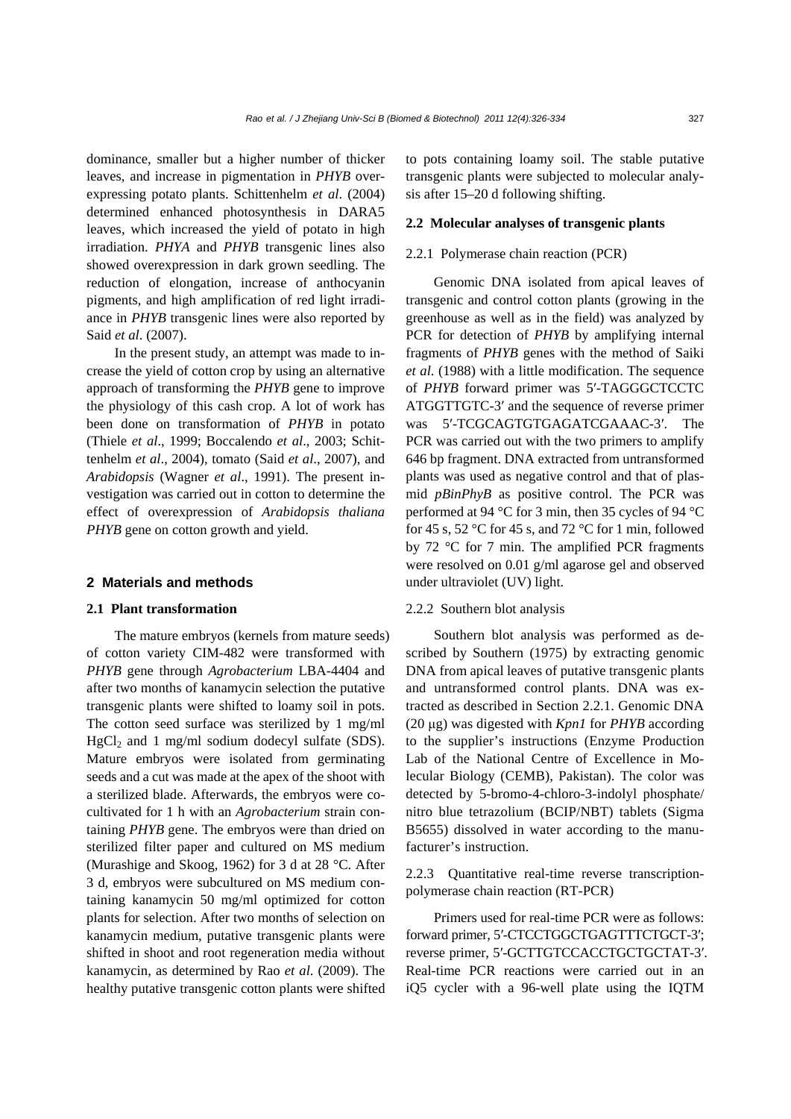dominance, smaller but a higher number of thicker leaves, and increase in pigmentation in *PHYB* overexpressing potato plants. Schittenhelm *et al*. (2004) determined enhanced photosynthesis in DARA5 leaves, which increased the yield of potato in high irradiation. *PHYA* and *PHYB* transgenic lines also showed overexpression in dark grown seedling. The reduction of elongation, increase of anthocyanin pigments, and high amplification of red light irradiance in *PHYB* transgenic lines were also reported by Said *et al*. (2007).

In the present study, an attempt was made to increase the yield of cotton crop by using an alternative approach of transforming the *PHYB* gene to improve the physiology of this cash crop. A lot of work has been done on transformation of *PHYB* in potato (Thiele *et al*., 1999; Boccalendo *et al*., 2003; Schittenhelm *et al*., 2004), tomato (Said *et al*., 2007), and *Arabidopsis* (Wagner *et al*., 1991). The present investigation was carried out in cotton to determine the effect of overexpression of *Arabidopsis thaliana PHYB* gene on cotton growth and yield.

#### **2 Materials and methods**

## **2.1 Plant transformation**

The mature embryos (kernels from mature seeds) of cotton variety CIM-482 were transformed with *PHYB* gene through *Agrobacterium* LBA-4404 and after two months of kanamycin selection the putative transgenic plants were shifted to loamy soil in pots. The cotton seed surface was sterilized by 1 mg/ml  $HgCl<sub>2</sub>$  and 1 mg/ml sodium dodecyl sulfate (SDS). Mature embryos were isolated from germinating seeds and a cut was made at the apex of the shoot with a sterilized blade. Afterwards, the embryos were cocultivated for 1 h with an *Agrobacterium* strain containing *PHYB* gene. The embryos were than dried on sterilized filter paper and cultured on MS medium (Murashige and Skoog, 1962) for 3 d at 28 °C. After 3 d, embryos were subcultured on MS medium containing kanamycin 50 mg/ml optimized for cotton plants for selection. After two months of selection on kanamycin medium, putative transgenic plants were shifted in shoot and root regeneration media without kanamycin, as determined by Rao *et al*. (2009). The healthy putative transgenic cotton plants were shifted

to pots containing loamy soil. The stable putative transgenic plants were subjected to molecular analysis after 15–20 d following shifting.

## **2.2 Molecular analyses of transgenic plants**

## 2.2.1 Polymerase chain reaction (PCR)

Genomic DNA isolated from apical leaves of transgenic and control cotton plants (growing in the greenhouse as well as in the field) was analyzed by PCR for detection of *PHYB* by amplifying internal fragments of *PHYB* genes with the method of Saiki *et al*. (1988) with a little modification. The sequence of *PHYB* forward primer was 5′-TAGGGCTCCTC ATGGTTGTC-3′ and the sequence of reverse primer was 5′-TCGCAGTGTGAGATCGAAAC-3′. The PCR was carried out with the two primers to amplify 646 bp fragment. DNA extracted from untransformed plants was used as negative control and that of plasmid *pBinPhyB* as positive control. The PCR was performed at 94 °C for 3 min, then 35 cycles of 94 °C for 45 s, 52  $\degree$ C for 45 s, and 72  $\degree$ C for 1 min, followed by 72 °C for 7 min. The amplified PCR fragments were resolved on 0.01 g/ml agarose gel and observed under ultraviolet (UV) light.

# 2.2.2 Southern blot analysis

Southern blot analysis was performed as described by Southern (1975) by extracting genomic DNA from apical leaves of putative transgenic plants and untransformed control plants. DNA was extracted as described in Section 2.2.1. Genomic DNA (20 μg) was digested with *Kpn1* for *PHYB* according to the supplier's instructions (Enzyme Production Lab of the National Centre of Excellence in Molecular Biology (CEMB), Pakistan). The color was detected by 5-bromo-4-chloro-3-indolyl phosphate/ nitro blue tetrazolium (BCIP/NBT) tablets (Sigma B5655) dissolved in water according to the manufacturer's instruction.

2.2.3 Quantitative real-time reverse transcriptionpolymerase chain reaction (RT-PCR)

Primers used for real-time PCR were as follows: forward primer, 5′-CTCCTGGCTGAGTTTCTGCT-3′; reverse primer, 5′-GCTTGTCCACCTGCTGCTAT-3′. Real-time PCR reactions were carried out in an iQ5 cycler with a 96-well plate using the IQTM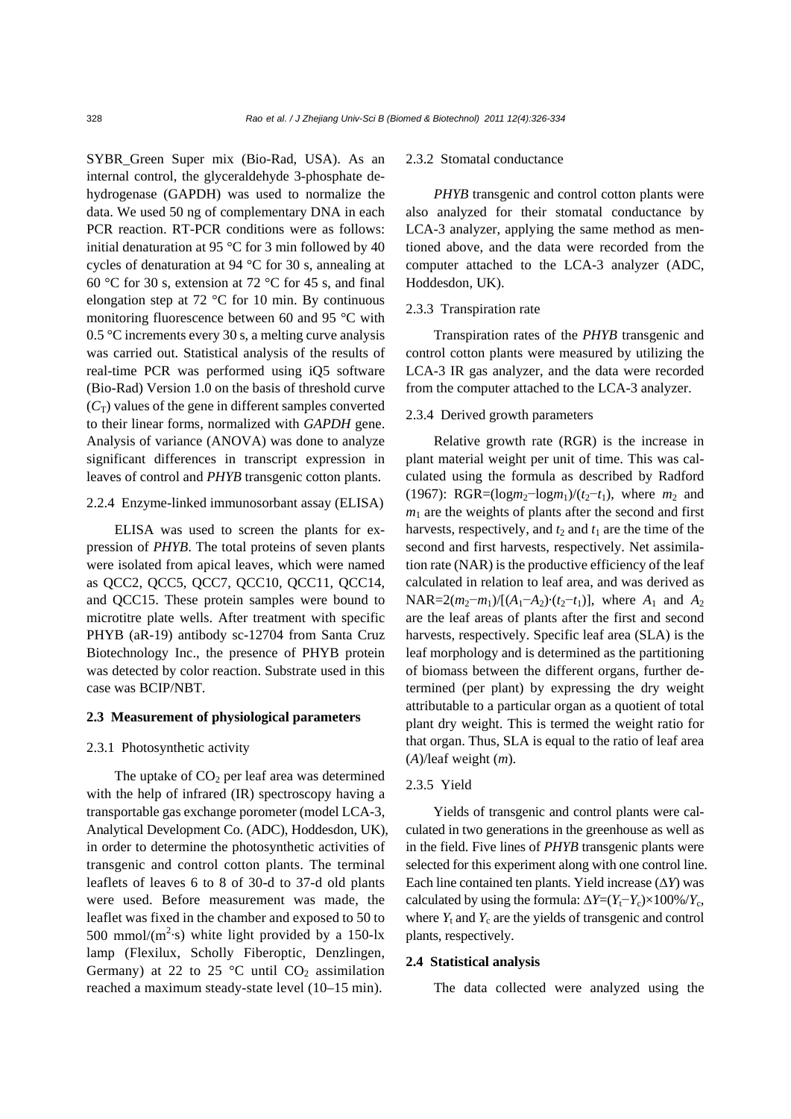SYBR\_Green Super mix (Bio-Rad, USA). As an internal control, the glyceraldehyde 3-phosphate dehydrogenase (GAPDH) was used to normalize the data. We used 50 ng of complementary DNA in each PCR reaction. RT-PCR conditions were as follows: initial denaturation at 95 °C for 3 min followed by 40 cycles of denaturation at 94 °C for 30 s, annealing at 60 °C for 30 s, extension at 72 °C for 45 s, and final elongation step at 72 °C for 10 min. By continuous monitoring fluorescence between 60 and 95 °C with 0.5 °C increments every 30 s, a melting curve analysis was carried out. Statistical analysis of the results of real-time PCR was performed using iQ5 software (Bio-Rad) Version 1.0 on the basis of threshold curve  $(C_T)$  values of the gene in different samples converted to their linear forms, normalized with *GAPDH* gene. Analysis of variance (ANOVA) was done to analyze significant differences in transcript expression in leaves of control and *PHYB* transgenic cotton plants.

# 2.2.4 Enzyme-linked immunosorbant assay (ELISA)

ELISA was used to screen the plants for expression of *PHYB*. The total proteins of seven plants were isolated from apical leaves, which were named as QCC2, QCC5, QCC7, QCC10, QCC11, QCC14, and QCC15. These protein samples were bound to microtitre plate wells. After treatment with specific PHYB (aR-19) antibody sc-12704 from Santa Cruz Biotechnology Inc., the presence of PHYB protein was detected by color reaction. Substrate used in this case was BCIP/NBT.

## **2.3 Measurement of physiological parameters**

## 2.3.1 Photosynthetic activity

The uptake of  $CO<sub>2</sub>$  per leaf area was determined with the help of infrared (IR) spectroscopy having a transportable gas exchange porometer (model LCA-3, Analytical Development Co. (ADC), Hoddesdon, UK), in order to determine the photosynthetic activities of transgenic and control cotton plants. The terminal leaflets of leaves 6 to 8 of 30-d to 37-d old plants were used. Before measurement was made, the leaflet was fixed in the chamber and exposed to 50 to 500 mmol/ $(m^2 \cdot s)$  white light provided by a 150-lx lamp (Flexilux, Scholly Fiberoptic, Denzlingen, Germany) at 22 to 25 °C until  $CO<sub>2</sub>$  assimilation reached a maximum steady-state level (10–15 min).

#### 2.3.2 Stomatal conductance

*PHYB* transgenic and control cotton plants were also analyzed for their stomatal conductance by LCA-3 analyzer, applying the same method as mentioned above, and the data were recorded from the computer attached to the LCA-3 analyzer (ADC, Hoddesdon, UK).

#### 2.3.3 Transpiration rate

Transpiration rates of the *PHYB* transgenic and control cotton plants were measured by utilizing the LCA-3 IR gas analyzer, and the data were recorded from the computer attached to the LCA-3 analyzer.

## 2.3.4 Derived growth parameters

Relative growth rate (RGR) is the increase in plant material weight per unit of time. This was calculated using the formula as described by Radford (1967): RGR=( $logm_2$ - $logm_1$ )/( $t_2$ - $t_1$ ), where  $m_2$  and  $m_1$  are the weights of plants after the second and first harvests, respectively, and  $t_2$  and  $t_1$  are the time of the second and first harvests, respectively. Net assimilation rate (NAR) is the productive efficiency of the leaf calculated in relation to leaf area, and was derived as NAR=2( $m_2$ − $m_1$ )/[( $A_1$ − $A_2$ )·( $t_2$ − $t_1$ )], where  $A_1$  and  $A_2$ are the leaf areas of plants after the first and second harvests, respectively. Specific leaf area (SLA) is the leaf morphology and is determined as the partitioning of biomass between the different organs, further determined (per plant) by expressing the dry weight attributable to a particular organ as a quotient of total plant dry weight. This is termed the weight ratio for that organ. Thus, SLA is equal to the ratio of leaf area (*A*)/leaf weight (*m*).

## 2.3.5 Yield

Yields of transgenic and control plants were calculated in two generations in the greenhouse as well as in the field. Five lines of *PHYB* transgenic plants were selected for this experiment along with one control line. Each line contained ten plants. Yield increase (∆*Y*) was calculated by using the formula:  $\Delta Y=(Y_t-Y_c)\times 100\% / Y_c$ , where  $Y_t$  and  $Y_c$  are the yields of transgenic and control plants, respectively.

#### **2.4 Statistical analysis**

The data collected were analyzed using the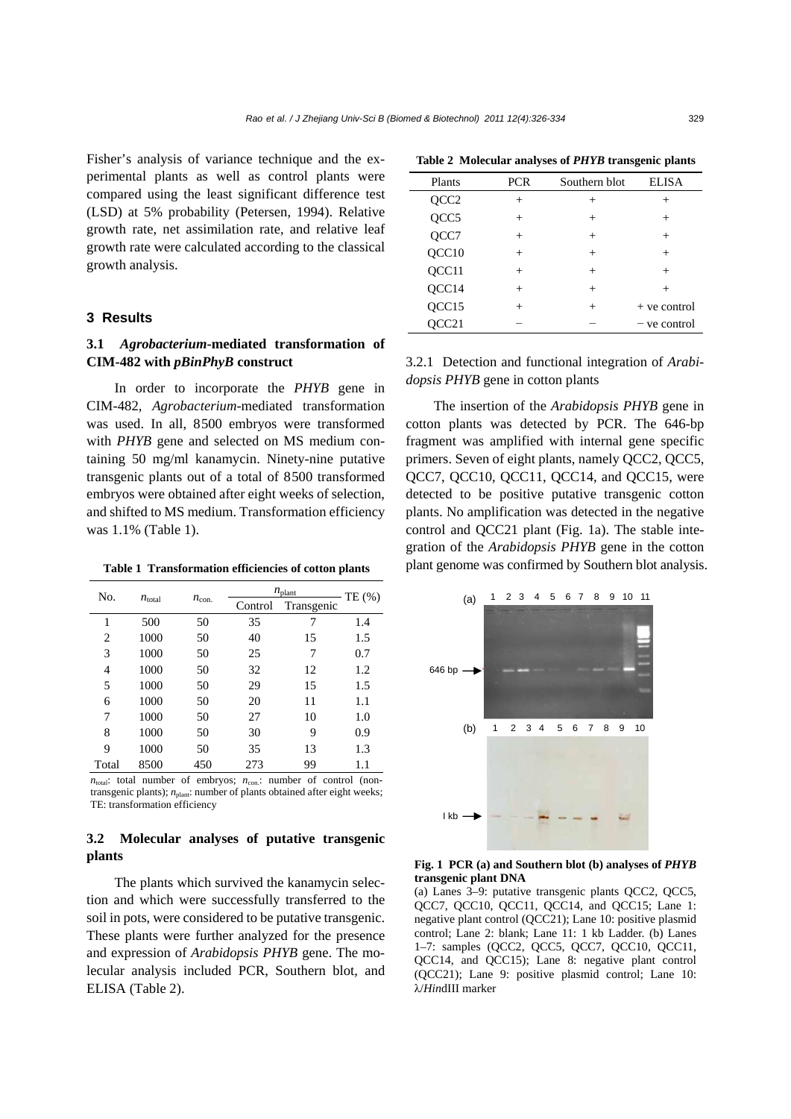Fisher's analysis of variance technique and the experimental plants as well as control plants were compared using the least significant difference test (LSD) at 5% probability (Petersen, 1994). Relative growth rate, net assimilation rate, and relative leaf growth rate were calculated according to the classical growth analysis.

## **3 Results**

# **3.1** *Agrobacterium***-mediated transformation of CIM-482 with** *pBinPhyB* **construct**

In order to incorporate the *PHYB* gene in CIM-482, *Agrobacterium*-mediated transformation was used. In all, 8500 embryos were transformed with *PHYB* gene and selected on MS medium containing 50 mg/ml kanamycin. Ninety-nine putative transgenic plants out of a total of 8500 transformed embryos were obtained after eight weeks of selection, and shifted to MS medium. Transformation efficiency was 1.1% (Table 1).

| N <sub>0</sub> |                    |                | $n_{\text{plant}}$ | TE $(\%)$  |     |
|----------------|--------------------|----------------|--------------------|------------|-----|
|                | $n_{\text{total}}$ | $n_{\rm con.}$ | Control            | Transgenic |     |
| 1              | 500                | 50             | 35                 | 7          | 1.4 |
| 2              | 1000               | 50             | 40                 | 15         | 1.5 |
| 3              | 1000               | 50             | 25                 | 7          | 0.7 |
| 4              | 1000               | 50             | 32                 | 12         | 1.2 |
| 5              | 1000               | 50             | 29                 | 15         | 1.5 |
| 6              | 1000               | 50             | 20                 | 11         | 1.1 |
| 7              | 1000               | 50             | 27                 | 10         | 1.0 |
| 8              | 1000               | 50             | 30                 | 9          | 0.9 |
| 9              | 1000               | 50             | 35                 | 13         | 1.3 |
| Total          | 8500               | 450            | 273                | 99         | 1.1 |

 $n_{total}$ : total number of embryos:  $n_{con}$ : number of control (nontransgenic plants);  $n_{\text{plant}}$ : number of plants obtained after eight weeks; TE: transformation efficiency

# **3.2 Molecular analyses of putative transgenic plants**

The plants which survived the kanamycin selection and which were successfully transferred to the soil in pots, were considered to be putative transgenic. These plants were further analyzed for the presence and expression of *Arabidopsis PHYB* gene. The molecular analysis included PCR, Southern blot, and ELISA (Table 2).

|  | Table 2 Molecular analyses of PHYB transgenic plants |  |  |  |  |
|--|------------------------------------------------------|--|--|--|--|
|--|------------------------------------------------------|--|--|--|--|

| Plants | <b>PCR</b> | Southern blot | <b>ELISA</b>   |
|--------|------------|---------------|----------------|
| QCC2   | $^{+}$     | $^{+}$        | $^+$           |
| QCC5   | $^{+}$     | $^{+}$        | $^{+}$         |
| QCC7   | $^{+}$     | $^{+}$        | $^{+}$         |
| QCC10  | $^{+}$     | $^{+}$        | $^{+}$         |
| QCC11  | $^{+}$     | $^{+}$        | $^{+}$         |
| QCC14  | $^{+}$     | $^{+}$        | $\div$         |
| QCC15  | $^{+}$     | $^{+}$        | $+$ ve control |
| OCC21  |            |               | – ve control   |

3.2.1 Detection and functional integration of *Arabidopsis PHYB* gene in cotton plants

The insertion of the *Arabidopsis PHYB* gene in cotton plants was detected by PCR. The 646-bp fragment was amplified with internal gene specific primers. Seven of eight plants, namely QCC2, QCC5, QCC7, QCC10, QCC11, QCC14, and QCC15, were detected to be positive putative transgenic cotton plants. No amplification was detected in the negative control and QCC21 plant (Fig. 1a). The stable integration of the *Arabidopsis PHYB* gene in the cotton **Table 1 Transformation efficiencies of cotton plants** plant genome was confirmed by Southern blot analysis.



**Fig. 1 PCR (a) and Southern blot (b) analyses of** *PHYB* **transgenic plant DNA**

(a) Lanes 3–9: putative transgenic plants QCC2, QCC5, QCC7, QCC10, QCC11, QCC14, and QCC15; Lane 1: negative plant control (QCC21); Lane 10: positive plasmid control; Lane 2: blank; Lane 11: 1 kb Ladder. (b) Lanes 1–7: samples (QCC2, QCC5, QCC7, QCC10, QCC11, QCC14, and QCC15); Lane 8: negative plant control (QCC21); Lane 9: positive plasmid control; Lane 10: λ/*Hin*dIII marker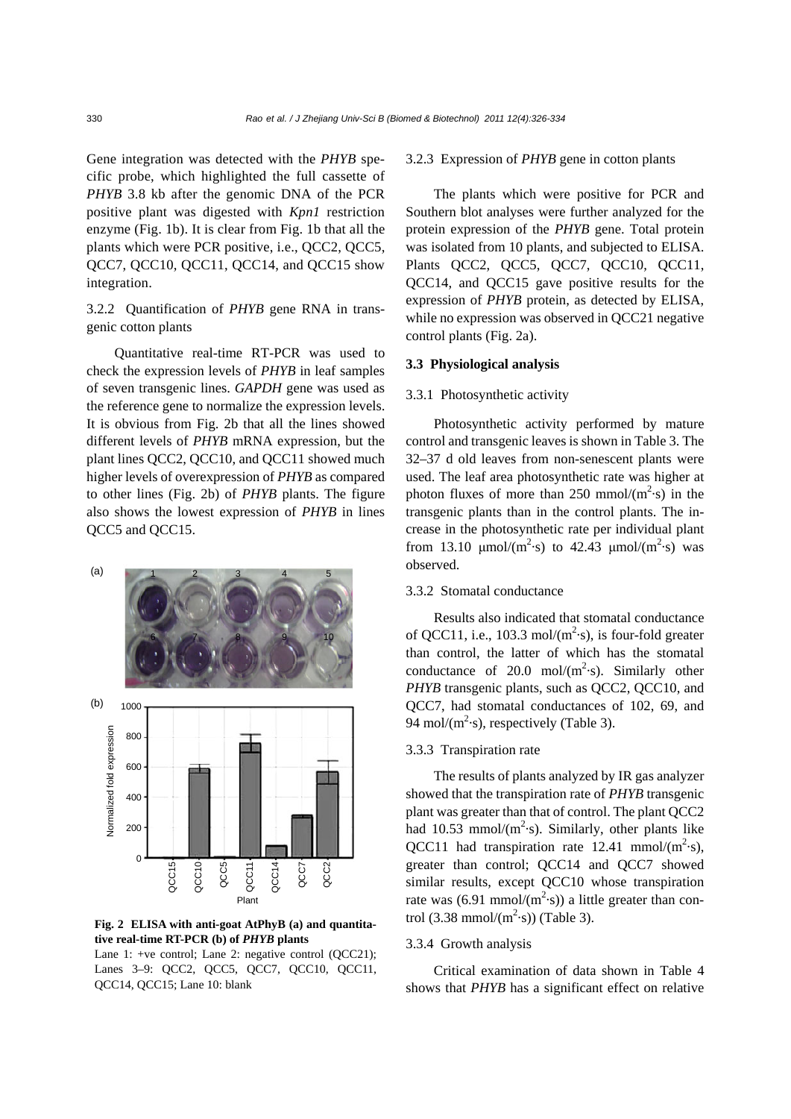Gene integration was detected with the *PHYB* specific probe, which highlighted the full cassette of *PHYB* 3.8 kb after the genomic DNA of the PCR positive plant was digested with *Kpn1* restriction enzyme (Fig. 1b). It is clear from Fig. 1b that all the plants which were PCR positive, i.e., QCC2, QCC5, QCC7, QCC10, QCC11, QCC14, and QCC15 show integration.

# 3.2.2 Quantification of *PHYB* gene RNA in transgenic cotton plants

Quantitative real-time RT-PCR was used to check the expression levels of *PHYB* in leaf samples of seven transgenic lines. *GAPDH* gene was used as the reference gene to normalize the expression levels. It is obvious from Fig. 2b that all the lines showed different levels of *PHYB* mRNA expression, but the plant lines QCC2, QCC10, and QCC11 showed much higher levels of overexpression of *PHYB* as compared to other lines (Fig. 2b) of *PHYB* plants. The figure also shows the lowest expression of *PHYB* in lines QCC5 and QCC15.



**Fig. 2 ELISA with anti-goat AtPhyB (a) and quantitative real-time RT-PCR (b) of** *PHYB* **plants** 

Lane 1: +ve control; Lane 2: negative control (QCC21); Lanes 3–9: QCC2, QCC5, QCC7, QCC10, QCC11, 3.2.3 Expression of *PHYB* gene in cotton plants

The plants which were positive for PCR and Southern blot analyses were further analyzed for the protein expression of the *PHYB* gene. Total protein was isolated from 10 plants, and subjected to ELISA. Plants QCC2, QCC5, QCC7, QCC10, QCC11, QCC14, and QCC15 gave positive results for the expression of *PHYB* protein, as detected by ELISA, while no expression was observed in QCC21 negative control plants (Fig. 2a).

#### **3.3 Physiological analysis**

#### 3.3.1 Photosynthetic activity

Photosynthetic activity performed by mature control and transgenic leaves is shown in Table 3. The 32–37 d old leaves from non-senescent plants were used. The leaf area photosynthetic rate was higher at photon fluxes of more than  $250 \text{ mmol/(m}^2\text{-s)}$  in the transgenic plants than in the control plants. The increase in the photosynthetic rate per individual plant from 13.10  $\mu$ mol/(m<sup>2</sup>·s) to 42.43  $\mu$ mol/(m<sup>2</sup>·s) was observed.

# 3.3.2 Stomatal conductance

Results also indicated that stomatal conductance of QCC11, i.e., 103.3 mol/ $(m<sup>2</sup>·s)$ , is four-fold greater than control, the latter of which has the stomatal conductance of 20.0 mol/ $(m^2 \cdot s)$ . Similarly other *PHYB* transgenic plants, such as QCC2, QCC10, and QCC7, had stomatal conductances of 102, 69, and 94 mol/ $(m^2 \text{-} s)$ , respectively (Table 3).

# 3.3.3 Transpiration rate

The results of plants analyzed by IR gas analyzer showed that the transpiration rate of *PHYB* transgenic plant was greater than that of control. The plant QCC2 had 10.53 mmol/ $(m^2 \text{-} s)$ . Similarly, other plants like QCC11 had transpiration rate  $12.41 \text{ mmol/(m}^2\text{-s)}$ , greater than control; QCC14 and QCC7 showed similar results, except QCC10 whose transpiration rate was (6.91 mmol/ $(m^2 \cdot s)$ ) a little greater than control  $(3.38 \text{ mmol/(m}^2 \cdot \text{s}))$  (Table 3).

## 3.3.4 Growth analysis

Critical examination of data shown in Table 4 shows that *PHYB* has a significant effect on relative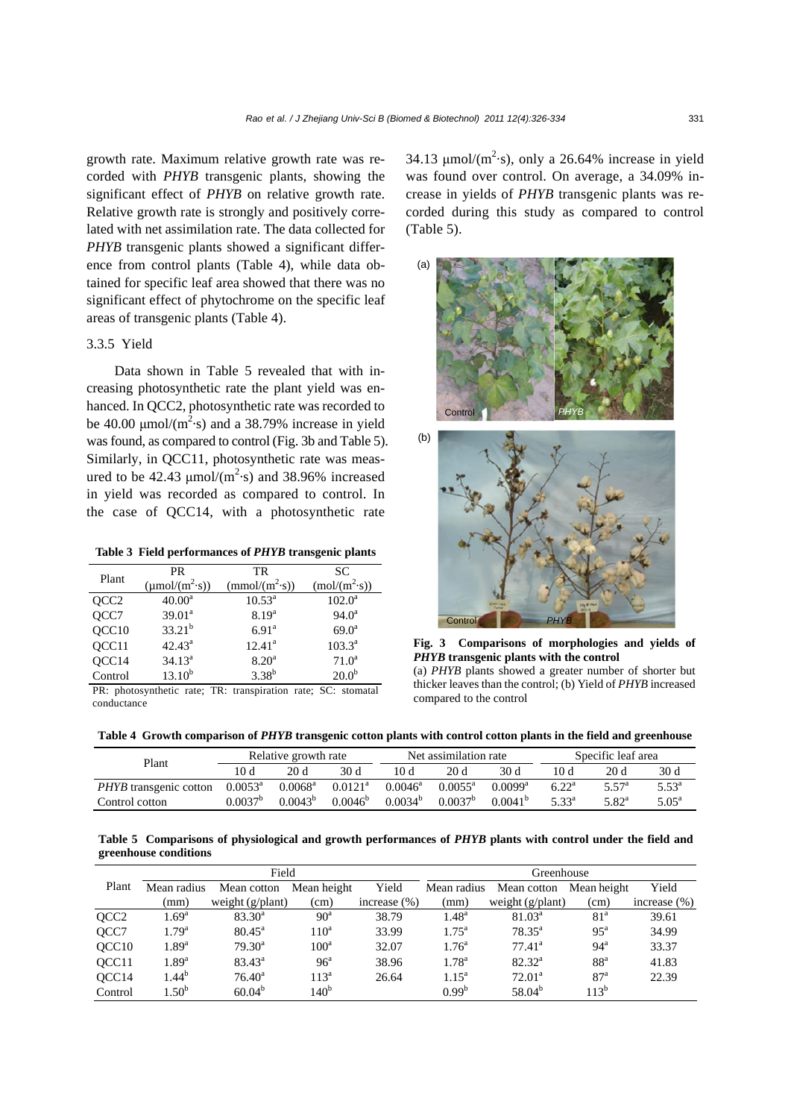growth rate. Maximum relative growth rate was recorded with *PHYB* transgenic plants, showing the significant effect of *PHYB* on relative growth rate. Relative growth rate is strongly and positively correlated with net assimilation rate. The data collected for *PHYB* transgenic plants showed a significant difference from control plants (Table 4), while data obtained for specific leaf area showed that there was no significant effect of phytochrome on the specific leaf areas of transgenic plants (Table 4).

## 3.3.5 Yield

Data shown in Table 5 revealed that with increasing photosynthetic rate the plant yield was enhanced. In QCC2, photosynthetic rate was recorded to be 40.00  $\mu$ mol/(m<sup>2</sup>·s) and a 38.79% increase in yield was found, as compared to control (Fig. 3b and Table 5). Similarly, in QCC11, photosynthetic rate was measured to be 42.43  $\mu$ mol/(m<sup>2</sup>·s) and 38.96% increased in yield was recorded as compared to control. In the case of QCC14, with a photosynthetic rate

**Table 3 Field performances of** *PHYB* **transgenic plants**

| Plant            | <b>PR</b>                                      | TR                         | SC                        |  |  |
|------------------|------------------------------------------------|----------------------------|---------------------------|--|--|
|                  | $(\mu \text{mol}/(\text{m}^2 \cdot \text{s}))$ | (mmol/(m <sup>2</sup> ·s)) | (mol/(m <sup>2</sup> ·s)) |  |  |
| QCC <sub>2</sub> | $40.00^a$                                      | $10.53^{\text{a}}$         | $102.0^{\rm a}$           |  |  |
| QCC7             | $39.01^a$                                      | $8.19^{a}$                 | $94.0^{\rm a}$            |  |  |
| QCC10            | $33.21^{b}$                                    | 6.91 <sup>a</sup>          | $69.0^{\rm a}$            |  |  |
| QCC11            | $42.43^{\circ}$                                | $12.41^a$                  | $103.3^{a}$               |  |  |
| QCC14            | $34.13^a$                                      | 8.20 <sup>a</sup>          | $71.0^a$                  |  |  |
| Control          | $13.10^{b}$                                    | $3.38^{b}$                 | 20.0 <sup>b</sup>         |  |  |

PR: photosynthetic rate; TR: transpiration rate; SC: stomatal conductance

34.13  $\mu$ mol/(m<sup>2</sup>·s), only a 26.64% increase in yield was found over control. On average, a 34.09% increase in yields of *PHYB* transgenic plants was recorded during this study as compared to control (Table 5).



**Fig. 3 Comparisons of morphologies and yields of**  *PHYB* **transgenic plants with the control** 

(a) *PHYB* plants showed a greater number of shorter but thicker leaves than the control; (b) Yield of *PHYB* increased compared to the control

| Table 4 Growth comparison of PHYB transgenic cotton plants with control cotton plants in the field and greenhouse |  |  |  |  |
|-------------------------------------------------------------------------------------------------------------------|--|--|--|--|
|                                                                                                                   |  |  |  |  |

| Plant                         |                     | Relative growth rate |                       |                  | Specific leaf area<br>Net assimilation rate |              |                |                     |                |
|-------------------------------|---------------------|----------------------|-----------------------|------------------|---------------------------------------------|--------------|----------------|---------------------|----------------|
|                               | 10 d                | 20d                  | 30 d                  | 10 d             | 20 d                                        | 30 d         | 10 d           | 20d                 | 30 d           |
| <i>PHYB</i> transgenic cotton | $0.0053^{\text{a}}$ | $0.0068^{\rm a}$     | $0.0121$ <sup>a</sup> | $0.0046^{\rm a}$ | $0.0055^{\text{a}}$                         | $0.0099^a$   | $6.22^{\rm a}$ | $5.57$ <sup>a</sup> | $5.53^{\circ}$ |
| Control cotton                | 0.0037 <sup>b</sup> | $0.0043^{b}$         | $0.0046^b$            | $0.0034^{b}$     | $0.0037^b$                                  | $0.0041^{b}$ | $5.33^{a}$     | $5.82^{\rm a}$      | $5.05^{\circ}$ |

**Table 5 Comparisons of physiological and growth performances of** *PHYB* **plants with control under the field and greenhouse conditions**

|                   |                   | Field            |                  |                 | Greenhouse        |                           |                   |                  |  |
|-------------------|-------------------|------------------|------------------|-----------------|-------------------|---------------------------|-------------------|------------------|--|
| Plant             | Mean radius       | Mean cotton      | Mean height      | Yield           | Mean radius       | Mean cotton               | Mean height       | Yield            |  |
|                   | (mm)              | weight (g/plant) | (cm)             | increase $(\%)$ | (mm)              | weight $(g/\text{plant})$ | (cm)              | increase $(\% )$ |  |
| QCC <sub>2</sub>  | $1.69^{\rm a}$    | $83.30^{\circ}$  | $90^{\rm a}$     | 38.79           | $1.48^{\rm a}$    | 81.03 <sup>a</sup>        | 81 <sup>a</sup>   | 39.61            |  |
| QCC7              | 1.79 <sup>a</sup> | $80.45^{\circ}$  | 110 <sup>a</sup> | 33.99           | $1.75^{\text{a}}$ | $78.35^{\circ}$           | $95^{\mathrm{a}}$ | 34.99            |  |
| OCC <sub>10</sub> | $1.89^{a}$        | $79.30^{\circ}$  | 100 <sup>a</sup> | 32.07           | $1.76^{\circ}$    | $77.41^a$                 | $94^{\mathrm{a}}$ | 33.37            |  |
| QCC11             | $1.89^{a}$        | $83.43^{\circ}$  | 96 <sup>a</sup>  | 38.96           | $1.78^{a}$        | $82.32^{\rm a}$           | 88 <sup>a</sup>   | 41.83            |  |
| OCC14             | $1.44^{b}$        | $76.40^{\rm a}$  | $113^a$          | 26.64           | $1.15^a$          | $72.01^a$                 | 87 <sup>a</sup>   | 22.39            |  |
| Control           | $1.50^{b}$        | $60.04^{b}$      | 140 <sup>b</sup> |                 | $0.99^{b}$        | $58.04^{b}$               | $113^{b}$         |                  |  |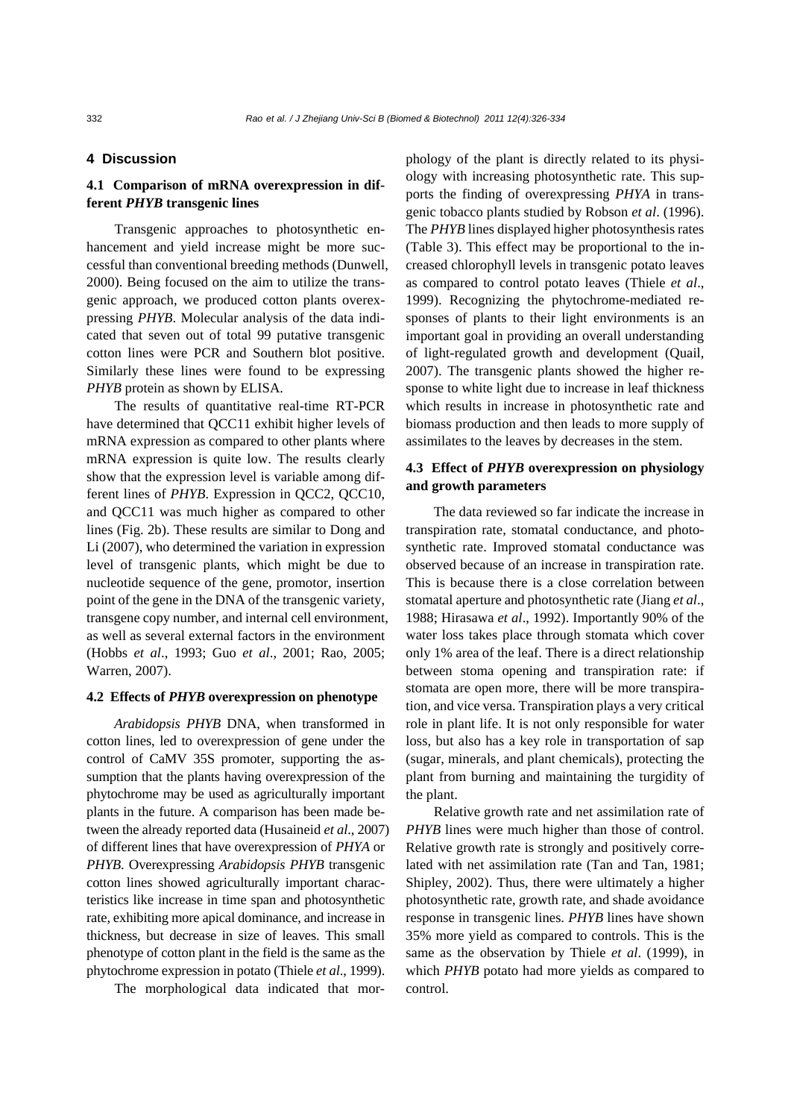# **4 Discussion**

# **4.1 Comparison of mRNA overexpression in different** *PHYB* **transgenic lines**

Transgenic approaches to photosynthetic enhancement and yield increase might be more successful than conventional breeding methods (Dunwell, 2000). Being focused on the aim to utilize the transgenic approach, we produced cotton plants overexpressing *PHYB*. Molecular analysis of the data indicated that seven out of total 99 putative transgenic cotton lines were PCR and Southern blot positive. Similarly these lines were found to be expressing *PHYB* protein as shown by ELISA.

The results of quantitative real-time RT-PCR have determined that QCC11 exhibit higher levels of mRNA expression as compared to other plants where mRNA expression is quite low. The results clearly show that the expression level is variable among different lines of *PHYB*. Expression in QCC2, QCC10, and QCC11 was much higher as compared to other lines (Fig. 2b). These results are similar to Dong and Li (2007), who determined the variation in expression level of transgenic plants, which might be due to nucleotide sequence of the gene, promotor, insertion point of the gene in the DNA of the transgenic variety, transgene copy number, and internal cell environment, as well as several external factors in the environment (Hobbs *et al*., 1993; Guo *et al*., 2001; Rao, 2005; Warren, 2007).

#### **4.2 Effects of** *PHYB* **overexpression on phenotype**

*Arabidopsis PHYB* DNA, when transformed in cotton lines, led to overexpression of gene under the control of CaMV 35S promoter, supporting the assumption that the plants having overexpression of the phytochrome may be used as agriculturally important plants in the future. A comparison has been made between the already reported data (Husaineid *et al*., 2007) of different lines that have overexpression of *PHYA* or *PHYB*. Overexpressing *Arabidopsis PHYB* transgenic cotton lines showed agriculturally important characteristics like increase in time span and photosynthetic rate, exhibiting more apical dominance, and increase in thickness, but decrease in size of leaves. This small phenotype of cotton plant in the field is the same as the phytochrome expression in potato (Thiele *et al*., 1999).

The morphological data indicated that mor-

phology of the plant is directly related to its physiology with increasing photosynthetic rate. This supports the finding of overexpressing *PHYA* in transgenic tobacco plants studied by Robson *et al*. (1996). The *PHYB* lines displayed higher photosynthesis rates (Table 3). This effect may be proportional to the increased chlorophyll levels in transgenic potato leaves as compared to control potato leaves (Thiele *et al*., 1999). Recognizing the phytochrome-mediated responses of plants to their light environments is an important goal in providing an overall understanding of light-regulated growth and development (Quail, 2007). The transgenic plants showed the higher response to white light due to increase in leaf thickness which results in increase in photosynthetic rate and biomass production and then leads to more supply of assimilates to the leaves by decreases in the stem.

# **4.3 Effect of** *PHYB* **overexpression on physiology and growth parameters**

The data reviewed so far indicate the increase in transpiration rate, stomatal conductance, and photosynthetic rate. Improved stomatal conductance was observed because of an increase in transpiration rate. This is because there is a close correlation between stomatal aperture and photosynthetic rate (Jiang *et al*., 1988; Hirasawa *et al*., 1992). Importantly 90% of the water loss takes place through stomata which cover only 1% area of the leaf. There is a direct relationship between stoma opening and transpiration rate: if stomata are open more, there will be more transpiration, and vice versa. Transpiration plays a very critical role in plant life. It is not only responsible for water loss, but also has a key role in transportation of sap (sugar, minerals, and plant chemicals), protecting the plant from burning and maintaining the turgidity of the plant.

Relative growth rate and net assimilation rate of *PHYB* lines were much higher than those of control. Relative growth rate is strongly and positively correlated with net assimilation rate (Tan and Tan, 1981; Shipley, 2002). Thus, there were ultimately a higher photosynthetic rate, growth rate, and shade avoidance response in transgenic lines. *PHYB* lines have shown 35% more yield as compared to controls. This is the same as the observation by Thiele *et al*. (1999), in which *PHYB* potato had more yields as compared to control.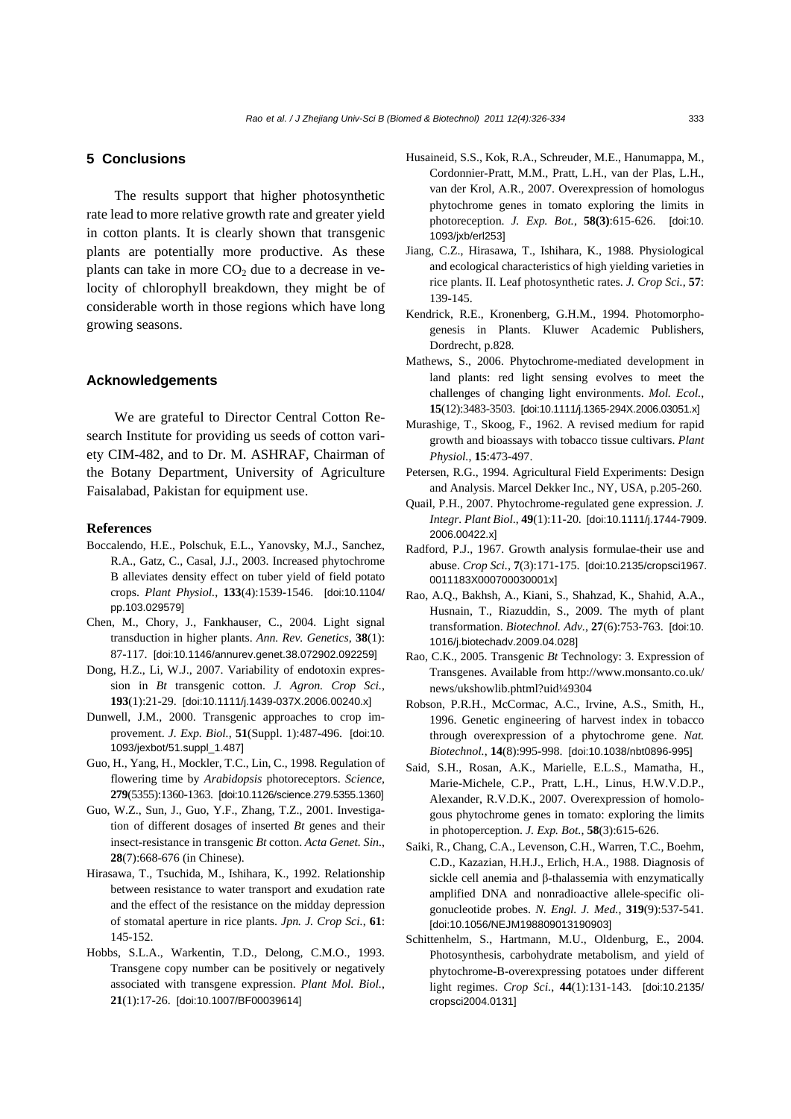## **5 Conclusions**

The results support that higher photosynthetic rate lead to more relative growth rate and greater yield in cotton plants. It is clearly shown that transgenic plants are potentially more productive. As these plants can take in more  $CO<sub>2</sub>$  due to a decrease in velocity of chlorophyll breakdown, they might be of considerable worth in those regions which have long growing seasons.

## **Acknowledgements**

We are grateful to Director Central Cotton Research Institute for providing us seeds of cotton variety CIM-482, and to Dr. M. ASHRAF, Chairman of the Botany Department, University of Agriculture Faisalabad, Pakistan for equipment use.

#### **References**

- Boccalendo, H.E., Polschuk, E.L., Yanovsky, M.J., Sanchez, R.A., Gatz, C., Casal, J.J., 2003. Increased phytochrome B alleviates density effect on tuber yield of field potato crops. *Plant Physiol.*, **133**(4):1539-1546. [doi:10.1104/ pp.103.029579]
- Chen, M., Chory, J., Fankhauser, C., 2004. Light signal transduction in higher plants. *Ann. Rev. Genetics*, **38**(1): 87-117. [doi:10.1146/annurev.genet.38.072902.092259]
- Dong, H.Z., Li, W.J., 2007. Variability of endotoxin expression in *Bt* transgenic cotton. *J. Agron. Crop Sci.*, **193**(1):21-29. [doi:10.1111/j.1439-037X.2006.00240.x]
- Dunwell, J.M., 2000. Transgenic approaches to crop improvement. *J. Exp. Biol.*, **51**(Suppl. 1):487-496. [doi:10. 1093/jexbot/51.suppl\_1.487]
- Guo, H., Yang, H., Mockler, T.C., Lin, C., 1998. Regulation of flowering time by *Arabidopsis* photoreceptors. *Science*, **279**(5355):1360-1363. [doi:10.1126/science.279.5355.1360]
- Guo, W.Z., Sun, J., Guo, Y.F., Zhang, T.Z., 2001. Investigation of different dosages of inserted *Bt* genes and their insect-resistance in transgenic *Bt* cotton. *Acta Genet. Sin.*, **28**(7):668-676 (in Chinese).
- Hirasawa, T., Tsuchida, M., Ishihara, K., 1992. Relationship between resistance to water transport and exudation rate and the effect of the resistance on the midday depression of stomatal aperture in rice plants. *Jpn. J. Crop Sci.*, **61**: 145-152.
- Hobbs, S.L.A., Warkentin, T.D., Delong, C.M.O., 1993. Transgene copy number can be positively or negatively associated with transgene expression. *Plant Mol. Biol.*, **21**(1):17-26. [doi:10.1007/BF00039614]
- Husaineid, S.S., Kok, R.A., Schreuder, M.E., Hanumappa, M., Cordonnier-Pratt, M.M., Pratt, L.H., van der Plas, L.H., van der Krol, A.R., 2007. Overexpression of homologus phytochrome genes in tomato exploring the limits in photoreception. *J. Exp. Bot.*, **58(3)**:615-626. [doi:10. 1093/jxb/erl253]
- Jiang, C.Z., Hirasawa, T., Ishihara, K., 1988. Physiological and ecological characteristics of high yielding varieties in rice plants. II. Leaf photosynthetic rates. *J. Crop Sci.*, **57**: 139-145.
- Kendrick, R.E., Kronenberg, G.H.M., 1994. Photomorphogenesis in Plants. Kluwer Academic Publishers, Dordrecht, p.828.
- Mathews, S., 2006. Phytochrome-mediated development in land plants: red light sensing evolves to meet the challenges of changing light environments. *Mol. Ecol.*, **15**(12):3483-3503. [doi:10.1111/j.1365-294X.2006.03051.x]
- Murashige, T., Skoog, F., 1962. A revised medium for rapid growth and bioassays with tobacco tissue cultivars. *Plant Physiol.*, **15**:473-497.
- Petersen, R.G., 1994. Agricultural Field Experiments: Design and Analysis. Marcel Dekker Inc., NY, USA, p.205-260.
- Quail, P.H., 2007. Phytochrome-regulated gene expression. *J. Integr. Plant Biol*., **49**(1):11-20. [doi:10.1111/j.1744-7909. 2006.00422.x]
- Radford, P.J., 1967. Growth analysis formulae-their use and abuse. *Crop Sci.*, **7**(3):171-175. [doi:10.2135/cropsci1967. 0011183X000700030001x]
- Rao, A.Q., Bakhsh, A., Kiani, S., Shahzad, K., Shahid, A.A., Husnain, T., Riazuddin, S., 2009. The myth of plant transformation. *Biotechnol. Adv.*, **27**(6):753-763. [doi:10. 1016/j.biotechadv.2009.04.028]
- Rao, C.K., 2005. Transgenic *Bt* Technology: 3. Expression of Transgenes. Available from http://www.monsanto.co.uk/ news/ukshowlib.phtml?uid¼9304
- Robson, P.R.H., McCormac, A.C., Irvine, A.S., Smith, H., 1996. Genetic engineering of harvest index in tobacco through overexpression of a phytochrome gene. *Nat. Biotechnol.*, **14**(8):995-998. [doi:10.1038/nbt0896-995]
- Said, S.H., Rosan, A.K., Marielle, E.L.S., Mamatha, H., Marie-Michele, C.P., Pratt, L.H., Linus, H.W.V.D.P., Alexander, R.V.D.K., 2007. Overexpression of homologous phytochrome genes in tomato: exploring the limits in photoperception. *J. Exp. Bot.*, **58**(3):615-626.
- Saiki, R., Chang, C.A., Levenson, C.H., Warren, T.C., Boehm, C.D., Kazazian, H.H.J., Erlich, H.A., 1988. Diagnosis of sickle cell anemia and β-thalassemia with enzymatically amplified DNA and nonradioactive allele-specific oligonucleotide probes. *N. Engl. J. Med.*, **319**(9):537-541. [doi:10.1056/NEJM198809013190903]
- Schittenhelm, S., Hartmann, M.U., Oldenburg, E., 2004. Photosynthesis, carbohydrate metabolism, and yield of phytochrome-B-overexpressing potatoes under different light regimes. *Crop Sci.*, **44**(1):131-143. [doi:10.2135/ cropsci2004.0131]